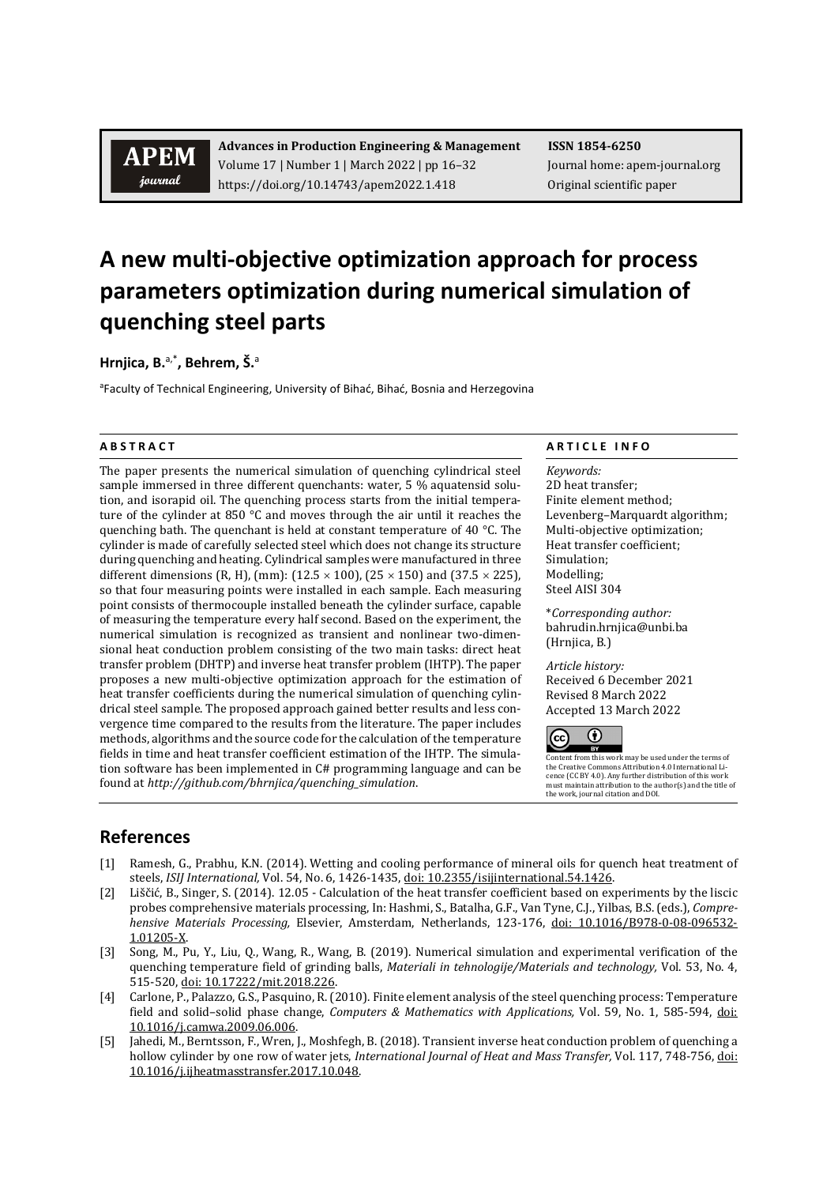## **APEM** journal

**Advances in Production Engineering & Management ISSN 1854-6250** Volume 17 | Number 1 | March 2022 | pp 16–32 Journal home: apem-journal.org https://doi.org/10.14743/apem2022.1.418 Original scientific paper

# **A new multi-objective optimization approach for process parameters optimization during numerical simulation of quenching steel parts**

Hrnjica, B.<sup>a,\*</sup>, Behrem, Š.<sup>a</sup>

<sup>a</sup>Faculty of Technical Engineering, University of Bihać, Bihać, Bosnia and Herzegovina

The paper presents the numerical simulation of quenching cylindrical steel sample immersed in three different quenchants: water, 5 % aquatensid solution, and isorapid oil. The quenching process starts from the initial temperature of the cylinder at 850 °C and moves through the air until it reaches the quenching bath. The quenchant is held at constant temperature of 40 °C. The cylinder is made of carefully selected steel which does not change its structure during quenching and heating. Cylindrical samples were manufactured in three different dimensions (R, H), (mm): ( $12.5 \times 100$ ), ( $25 \times 150$ ) and ( $37.5 \times 225$ ), so that four measuring points were installed in each sample. Each measuring point consists of thermocouple installed beneath the cylinder surface, capable of measuring the temperature every half second. Based on the experiment, the numerical simulation is recognized as transient and nonlinear two-dimensional heat conduction problem consisting of the two main tasks: direct heat transfer problem (DHTP) and inverse heat transfer problem (IHTP). The paper proposes a new multi-objective optimization approach for the estimation of heat transfer coefficients during the numerical simulation of quenching cylindrical steel sample. The proposed approach gained better results and less convergence time compared to the results from the literature. The paper includes methods, algorithms and the source code for the calculation of the temperature fields in time and heat transfer coefficient estimation of the IHTP. The simulation software has been implemented in C# programming language and can be found at *[http://github.com/bhrnjica/quenching\\_simulation](http://github.com/bhrnjica/quenching_simulation)*.

### **A B S T R A C T A R T I C L E I N F O**

*Keywords:* 2D heat transfer; Finite element method; Levenberg–Marquardt algorithm; Multi-objective optimization; Heat transfer coefficient; Simulation; Modelling; Steel AISI 304

\**Corresponding author:*  bahrudin.hrnjica@unbi.ba (Hrnjica, B.)

*Article history:*  Received 6 December 2021 Revised 8 March 2022 Accepted 13 March 2022



Content from this work may be used under the terms of the Creative Commons Attribution 4.0 International Licence (CC BY 4.0). Any further distribution of this work must maintain attribution to the author(s) and the title of the work, journal citation and DOI.

## **References**

- [1] Ramesh, G., Prabhu, K.N. (2014). Wetting and cooling performance of mineral oils for quench heat treatment of steels, *ISIJ International,* Vol. 54, No. 6, 1426-1435[, doi: 10.2355/isijinternational.54.1426.](https://doi.org/10.2355/isijinternational.54.1426)
- [2] Liščić, B., Singer, S. (2014). 12.05 Calculation of the heat transfer coefficient based on experiments by the liscic probes comprehensive materials processing, In: Hashmi, S., Batalha, G.F., Van Tyne, C.J., Yilbas, B.S. (eds.), *Comprehensive Materials Processing,* Elsevier, Amsterdam, Netherlands, 123-176, [doi: 10.1016/B978-0-08-096532-](https://doi.org/10.1016/B978-0-08-096532-1.01205-X) [1.01205-X.](https://doi.org/10.1016/B978-0-08-096532-1.01205-X)
- [3] Song, M., Pu, Y., Liu, Q., Wang, R., Wang, B. (2019). Numerical simulation and experimental verification of the quenching temperature field of grinding balls, *Materiali in tehnologije/Materials and technology,* Vol. 53, No. 4, 515-520, [doi: 10.17222/mit.2018.226.](https://doi.org/10.17222/mit.2018.226)
- [4] Carlone, P., Palazzo, G.S., Pasquino, R. (2010). Finite element analysis of the steel quenching process: Temperature field and solid–solid phase change, *Computers & Mathematics with Applications,* Vol. 59, No. 1, 585-594, [doi:](https://doi.org/10.1016/j.camwa.2009.06.006)  [10.1016/j.camwa.2009.06.006.](https://doi.org/10.1016/j.camwa.2009.06.006)
- [5] Jahedi, M., Berntsson, F., Wren, J., Moshfegh, B. (2018). Transient inverse heat conduction problem of quenching a hollow cylinder by one row of water jets, *International Journal of Heat and Mass Transfer,* Vol. 117, 748-756, [doi:](https://doi.org/10.1016/j.ijheatmasstransfer.2017.10.048)  [10.1016/j.ijheatmasstransfer.2017.10.048.](https://doi.org/10.1016/j.ijheatmasstransfer.2017.10.048)